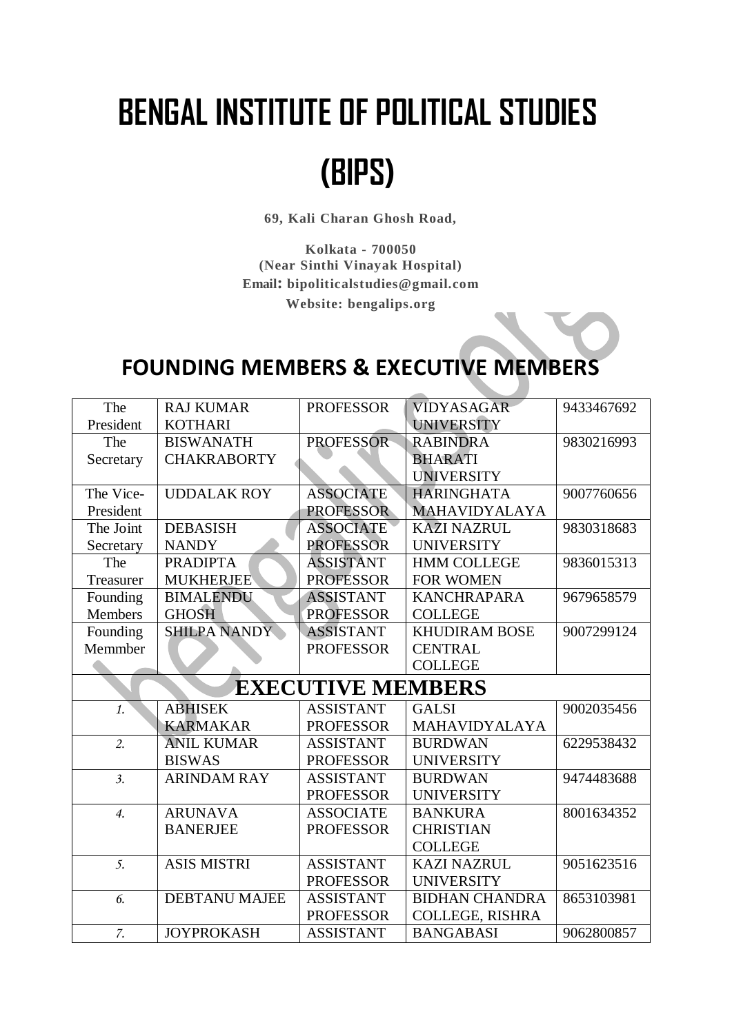## **BENGAL INSTITUTE OF POLITICAL STUDIES**

## **(BIPS)**

**69, Kali Charan Ghosh Road,**

**Kolkata - 700050 (Near Sinthi Vinayak Hospital) Email: bipoliticalstudies@gmail.com Website: bengalips.org**

## **FOUNDING MEMBERS & EXECUTIVE MEMBERS**

| The              | <b>RAJ KUMAR</b>     | <b>PROFESSOR</b>         | VIDYASAGAR            | 9433467692 |
|------------------|----------------------|--------------------------|-----------------------|------------|
| President        | <b>KOTHARI</b>       |                          | <b>UNIVERSITY</b>     |            |
| The              | <b>BISWANATH</b>     | <b>PROFESSOR</b>         | <b>RABINDRA</b>       | 9830216993 |
| Secretary        | <b>CHAKRABORTY</b>   |                          | <b>BHARATI</b>        |            |
|                  |                      |                          | <b>UNIVERSITY</b>     |            |
| The Vice-        | <b>UDDALAK ROY</b>   | <b>ASSOCIATE</b>         | <b>HARINGHATA</b>     | 9007760656 |
| President        |                      | <b>PROFESSOR</b>         | <b>MAHAVIDYALAYA</b>  |            |
| The Joint        | <b>DEBASISH</b>      | <b>ASSOCIATE</b>         | <b>KAZI NAZRUL</b>    | 9830318683 |
| Secretary        | <b>NANDY</b>         | <b>PROFESSOR</b>         | <b>UNIVERSITY</b>     |            |
| The              | <b>PRADIPTA</b>      | ASSISTANT                | <b>HMM COLLEGE</b>    | 9836015313 |
| Treasurer        | <b>MUKHERJEE</b>     | <b>PROFESSOR</b>         | <b>FOR WOMEN</b>      |            |
| Founding         | <b>BIMALENDU</b>     | <b>ASSISTANT</b>         | <b>KANCHRAPARA</b>    | 9679658579 |
| Members          | <b>GHOSH</b>         | <b>PROFESSOR</b>         | <b>COLLEGE</b>        |            |
| Founding         | SHILPA NANDY         | <b>ASSISTANT</b>         | <b>KHUDIRAM BOSE</b>  | 9007299124 |
| Memmber          |                      | <b>PROFESSOR</b>         | <b>CENTRAL</b>        |            |
|                  |                      |                          | <b>COLLEGE</b>        |            |
|                  |                      | <b>EXECUTIVE MEMBERS</b> |                       |            |
| 1.               | <b>ABHISEK</b>       | <b>ASSISTANT</b>         | <b>GALSI</b>          | 9002035456 |
|                  | <b>KARMAKAR</b>      | <b>PROFESSOR</b>         | MAHAVIDYALAYA         |            |
| $\overline{2}$ . | <b>ANIL KUMAR</b>    | <b>ASSISTANT</b>         | <b>BURDWAN</b>        | 6229538432 |
|                  | <b>BISWAS</b>        | <b>PROFESSOR</b>         | <b>UNIVERSITY</b>     |            |
| $\overline{3}$ . | <b>ARINDAM RAY</b>   | <b>ASSISTANT</b>         | <b>BURDWAN</b>        | 9474483688 |
|                  |                      | <b>PROFESSOR</b>         | <b>UNIVERSITY</b>     |            |
| $\overline{4}$ . | <b>ARUNAVA</b>       | <b>ASSOCIATE</b>         | <b>BANKURA</b>        | 8001634352 |
|                  | <b>BANERJEE</b>      | <b>PROFESSOR</b>         | <b>CHRISTIAN</b>      |            |
|                  |                      |                          | <b>COLLEGE</b>        |            |
| $\overline{5}$ . | <b>ASIS MISTRI</b>   | <b>ASSISTANT</b>         | <b>KAZI NAZRUL</b>    | 9051623516 |
|                  |                      | <b>PROFESSOR</b>         | <b>UNIVERSITY</b>     |            |
| 6.               | <b>DEBTANU MAJEE</b> | <b>ASSISTANT</b>         | <b>BIDHAN CHANDRA</b> | 8653103981 |
|                  |                      | <b>PROFESSOR</b>         | COLLEGE, RISHRA       |            |
| 7.               | <b>JOYPROKASH</b>    | <b>ASSISTANT</b>         | <b>BANGABASI</b>      | 9062800857 |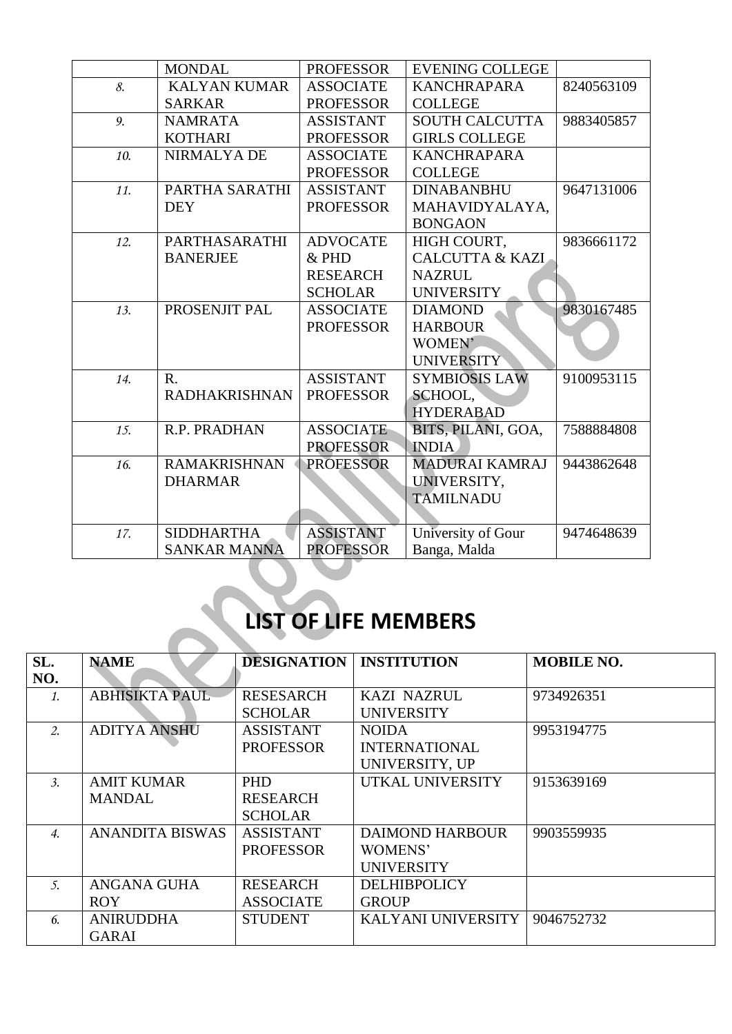|     | <b>MONDAL</b>        | <b>PROFESSOR</b> | <b>EVENING COLLEGE</b>     |            |
|-----|----------------------|------------------|----------------------------|------------|
| 8.  | <b>KALYAN KUMAR</b>  | <b>ASSOCIATE</b> | <b>KANCHRAPARA</b>         | 8240563109 |
|     | <b>SARKAR</b>        | <b>PROFESSOR</b> | <b>COLLEGE</b>             |            |
| 9.  | <b>NAMRATA</b>       | <b>ASSISTANT</b> | <b>SOUTH CALCUTTA</b>      | 9883405857 |
|     | <b>KOTHARI</b>       | <b>PROFESSOR</b> | <b>GIRLS COLLEGE</b>       |            |
| 10. | NIRMALYA DE          | <b>ASSOCIATE</b> | <b>KANCHRAPARA</b>         |            |
|     |                      | <b>PROFESSOR</b> | <b>COLLEGE</b>             |            |
| 11. | PARTHA SARATHI       | <b>ASSISTANT</b> | <b>DINABANBHU</b>          | 9647131006 |
|     | <b>DEY</b>           | <b>PROFESSOR</b> | MAHAVIDYALAYA,             |            |
|     |                      |                  | <b>BONGAON</b>             |            |
| 12. | PARTHASARATHI        | <b>ADVOCATE</b>  | HIGH COURT,                | 9836661172 |
|     | <b>BANERJEE</b>      | $&$ PHD          | <b>CALCUTTA &amp; KAZI</b> |            |
|     |                      | <b>RESEARCH</b>  | <b>NAZRUL</b>              |            |
|     |                      | <b>SCHOLAR</b>   | <b>UNIVERSITY</b>          |            |
| 13. | PROSENJIT PAL        | <b>ASSOCIATE</b> | <b>DIAMOND</b>             | 9830167485 |
|     |                      | <b>PROFESSOR</b> | <b>HARBOUR</b>             |            |
|     |                      |                  | WOMEN'                     |            |
|     |                      |                  | <b>UNIVERSITY</b>          |            |
| 14. | $\mathbf{R}$ .       | <b>ASSISTANT</b> | <b>SYMBIOSIS LAW</b>       | 9100953115 |
|     | <b>RADHAKRISHNAN</b> | <b>PROFESSOR</b> | SCHOOL,                    |            |
|     |                      |                  | <b>HYDERABAD</b>           |            |
| 15. | R.P. PRADHAN         | <b>ASSOCIATE</b> | BITS, PILANI, GOA,         | 7588884808 |
|     |                      | <b>PROFESSOR</b> | <b>INDIA</b>               |            |
| 16. | <b>RAMAKRISHNAN</b>  | <b>PROFESSOR</b> | <b>MADURAI KAMRAJ</b>      | 9443862648 |
|     | <b>DHARMAR</b>       |                  | UNIVERSITY,                |            |
|     |                      |                  | <b>TAMILNADU</b>           |            |
|     |                      |                  |                            |            |
| 17. | <b>SIDDHARTHA</b>    | <b>ASSISTANT</b> | University of Gour         | 9474648639 |
|     | <b>SANKAR MANNA</b>  | <b>PROFESSOR</b> | Banga, Malda               |            |

## **LIST OF LIFE MEMBERS**

| SL.                | <b>NAME</b>            | <b>DESIGNATION</b> | <b>INSTITUTION</b>        | <b>MOBILE NO.</b> |
|--------------------|------------------------|--------------------|---------------------------|-------------------|
| NO.                |                        |                    |                           |                   |
| 1.                 | <b>ABHISIKTA PAUL</b>  | <b>RESESARCH</b>   | <b>KAZI NAZRUL</b>        | 9734926351        |
|                    |                        | <b>SCHOLAR</b>     | <b>UNIVERSITY</b>         |                   |
| 2.                 | <b>ADITYA ANSHU</b>    | <b>ASSISTANT</b>   | <b>NOIDA</b>              | 9953194775        |
|                    |                        | <b>PROFESSOR</b>   | <b>INTERNATIONAL</b>      |                   |
|                    |                        |                    | UNIVERSITY, UP            |                   |
| $\mathfrak{Z}$ .   | <b>AMIT KUMAR</b>      | <b>PHD</b>         | UTKAL UNIVERSITY          | 9153639169        |
|                    | <b>MANDAL</b>          | <b>RESEARCH</b>    |                           |                   |
|                    |                        | <b>SCHOLAR</b>     |                           |                   |
| $\boldsymbol{4}$ . | <b>ANANDITA BISWAS</b> | <b>ASSISTANT</b>   | <b>DAIMOND HARBOUR</b>    | 9903559935        |
|                    |                        | <b>PROFESSOR</b>   | WOMENS'                   |                   |
|                    |                        |                    | <b>UNIVERSITY</b>         |                   |
| 5.                 | ANGANA GUHA            | <b>RESEARCH</b>    | <b>DELHIBPOLICY</b>       |                   |
|                    | <b>ROY</b>             | <b>ASSOCIATE</b>   | <b>GROUP</b>              |                   |
| 6.                 | <b>ANIRUDDHA</b>       | <b>STUDENT</b>     | <b>KALYANI UNIVERSITY</b> | 9046752732        |
|                    | <b>GARAI</b>           |                    |                           |                   |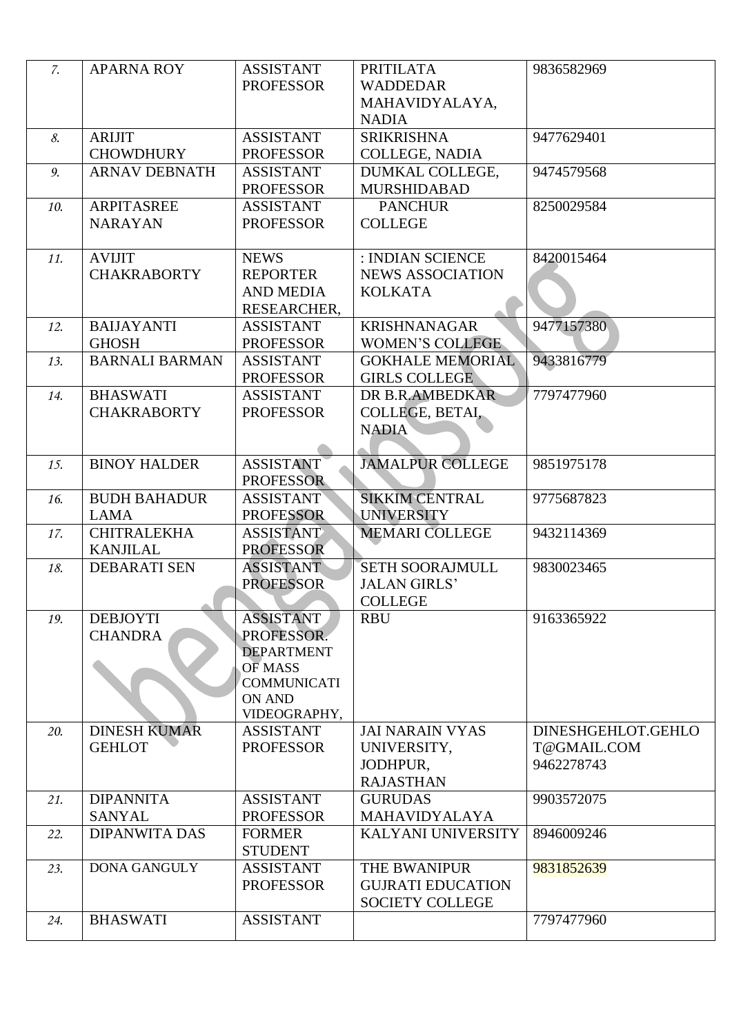| $\mathbf{Z}$ . | <b>APARNA ROY</b>                     | <b>ASSISTANT</b><br><b>PROFESSOR</b>                                                                           | <b>PRITILATA</b><br><b>WADDEDAR</b><br>MAHAVIDYALAYA,<br><b>NADIA</b> | 9836582969                                      |
|----------------|---------------------------------------|----------------------------------------------------------------------------------------------------------------|-----------------------------------------------------------------------|-------------------------------------------------|
| 8.             | <b>ARIJIT</b><br><b>CHOWDHURY</b>     | <b>ASSISTANT</b><br><b>PROFESSOR</b>                                                                           | <b>SRIKRISHNA</b><br>COLLEGE, NADIA                                   | 9477629401                                      |
| 9.             | <b>ARNAV DEBNATH</b>                  | <b>ASSISTANT</b><br><b>PROFESSOR</b>                                                                           | DUMKAL COLLEGE,<br><b>MURSHIDABAD</b>                                 | 9474579568                                      |
| 10.            | <b>ARPITASREE</b><br><b>NARAYAN</b>   | <b>ASSISTANT</b><br><b>PROFESSOR</b>                                                                           | <b>PANCHUR</b><br><b>COLLEGE</b>                                      | 8250029584                                      |
| 11.            | <b>AVIJIT</b><br><b>CHAKRABORTY</b>   | <b>NEWS</b><br><b>REPORTER</b><br><b>AND MEDIA</b><br>RESEARCHER,                                              | : INDIAN SCIENCE<br><b>NEWS ASSOCIATION</b><br><b>KOLKATA</b>         | 8420015464                                      |
| 12.            | <b>BAIJAYANTI</b><br><b>GHOSH</b>     | <b>ASSISTANT</b><br><b>PROFESSOR</b>                                                                           | <b>KRISHNANAGAR</b><br><b>WOMEN'S COLLEGE</b>                         | 9477157380                                      |
| 13.            | <b>BARNALI BARMAN</b>                 | <b>ASSISTANT</b><br><b>PROFESSOR</b>                                                                           | <b>GOKHALE MEMORIAL</b><br><b>GIRLS COLLEGE</b>                       | 9433816779                                      |
| 14.            | <b>BHASWATI</b><br><b>CHAKRABORTY</b> | <b>ASSISTANT</b><br><b>PROFESSOR</b>                                                                           | DR B.R.AMBEDKAR<br>COLLEGE, BETAI,<br><b>NADIA</b>                    | 7797477960                                      |
| 15.            | <b>BINOY HALDER</b>                   | <b>ASSISTANT</b><br><b>PROFESSOR</b>                                                                           | <b>JAMALPUR COLLEGE</b>                                               | 9851975178                                      |
| 16.            | <b>BUDH BAHADUR</b><br><b>LAMA</b>    | <b>ASSISTANT</b><br><b>PROFESSOR</b>                                                                           | <b>SIKKIM CENTRAL</b><br><b>UNIVERSITY</b>                            | 9775687823                                      |
| 17.            | <b>CHITRALEKHA</b><br><b>KANJILAL</b> | <b>ASSISTANT</b><br><b>PROFESSOR</b>                                                                           | <b>MEMARI COLLEGE</b>                                                 | 9432114369                                      |
| 18.            | <b>DEBARATI SEN</b>                   | <b>ASSISTANT</b><br><b>PROFESSOR</b>                                                                           | <b>SETH SOORAJMULL</b><br><b>JALAN GIRLS'</b><br><b>COLLEGE</b>       | 9830023465                                      |
| 19.            | <b>DEBJOYTI</b><br><b>CHANDRA</b>     | <b>ASSISTANT</b><br>PROFESSOR.<br><b>DEPARTMENT</b><br>OF MASS<br><b>COMMUNICATI</b><br>ON AND<br>VIDEOGRAPHY, | <b>RBU</b>                                                            | 9163365922                                      |
| 20.            | <b>DINESH KUMAR</b><br><b>GEHLOT</b>  | <b>ASSISTANT</b><br><b>PROFESSOR</b>                                                                           | <b>JAI NARAIN VYAS</b><br>UNIVERSITY.<br>JODHPUR,<br><b>RAJASTHAN</b> | DINESHGEHLOT.GEHLO<br>T@GMAIL.COM<br>9462278743 |
| 21.            | <b>DIPANNITA</b><br><b>SANYAL</b>     | <b>ASSISTANT</b><br><b>PROFESSOR</b>                                                                           | <b>GURUDAS</b><br><b>MAHAVIDYALAYA</b>                                | 9903572075                                      |
| 22.            | <b>DIPANWITA DAS</b>                  | <b>FORMER</b><br><b>STUDENT</b>                                                                                | <b>KALYANI UNIVERSITY</b>                                             | 8946009246                                      |
| 23.            | <b>DONA GANGULY</b>                   | <b>ASSISTANT</b><br><b>PROFESSOR</b>                                                                           | THE BWANIPUR<br><b>GUJRATI EDUCATION</b><br><b>SOCIETY COLLEGE</b>    | 9831852639                                      |
| 24.            | <b>BHASWATI</b>                       | <b>ASSISTANT</b>                                                                                               |                                                                       | 7797477960                                      |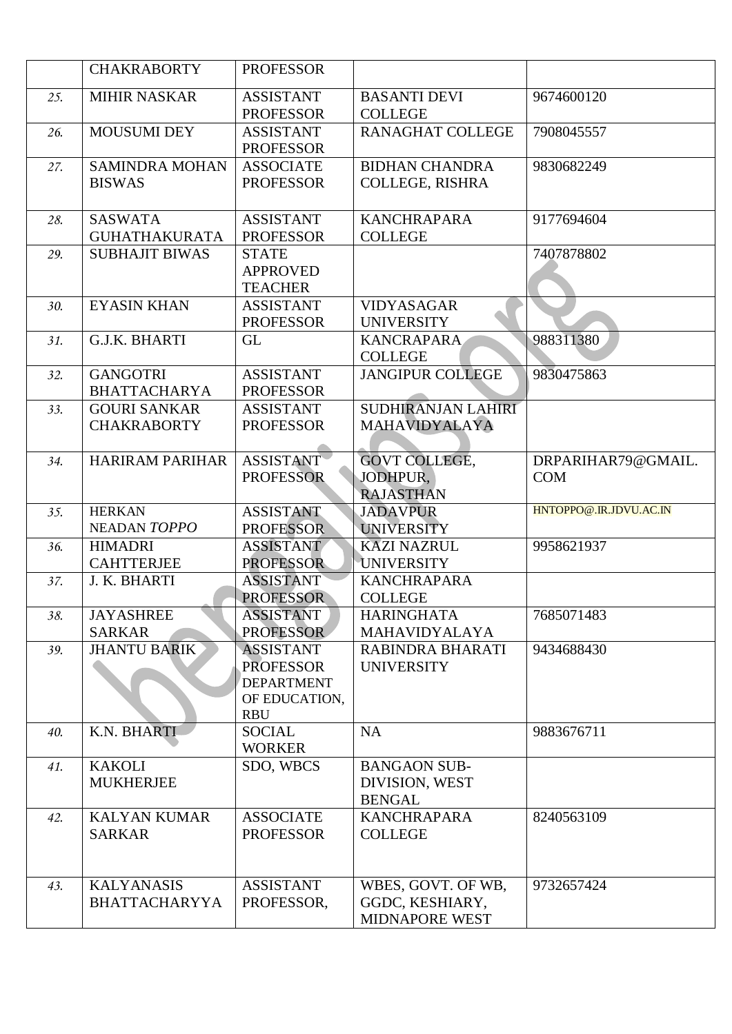|     | <b>CHAKRABORTY</b>                        | <b>PROFESSOR</b>                                                                         |                                                         |                                  |
|-----|-------------------------------------------|------------------------------------------------------------------------------------------|---------------------------------------------------------|----------------------------------|
| 25. | <b>MIHIR NASKAR</b>                       | <b>ASSISTANT</b><br><b>PROFESSOR</b>                                                     | <b>BASANTI DEVI</b><br><b>COLLEGE</b>                   | 9674600120                       |
| 26. | <b>MOUSUMI DEY</b>                        | <b>ASSISTANT</b><br><b>PROFESSOR</b>                                                     | <b>RANAGHAT COLLEGE</b>                                 | 7908045557                       |
| 27. | <b>SAMINDRA MOHAN</b><br><b>BISWAS</b>    | <b>ASSOCIATE</b><br><b>PROFESSOR</b>                                                     | <b>BIDHAN CHANDRA</b><br><b>COLLEGE, RISHRA</b>         | 9830682249                       |
| 28. | <b>SASWATA</b><br><b>GUHATHAKURATA</b>    | <b>ASSISTANT</b><br><b>PROFESSOR</b>                                                     | <b>KANCHRAPARA</b><br><b>COLLEGE</b>                    | 9177694604                       |
| 29. | <b>SUBHAJIT BIWAS</b>                     | <b>STATE</b><br><b>APPROVED</b><br><b>TEACHER</b>                                        |                                                         | 7407878802                       |
| 30. | <b>EYASIN KHAN</b>                        | <b>ASSISTANT</b><br><b>PROFESSOR</b>                                                     | <b>VIDYASAGAR</b><br><b>UNIVERSITY</b>                  |                                  |
| 31. | G.J.K. BHARTI                             | <b>GL</b>                                                                                | <b>KANCRAPARA</b><br><b>COLLEGE</b>                     | 988311380                        |
| 32. | <b>GANGOTRI</b><br><b>BHATTACHARYA</b>    | <b>ASSISTANT</b><br><b>PROFESSOR</b>                                                     | <b>JANGIPUR COLLEGE</b>                                 | 9830475863                       |
| 33. | <b>GOURI SANKAR</b><br><b>CHAKRABORTY</b> | <b>ASSISTANT</b><br><b>PROFESSOR</b>                                                     | SUDHIRANJAN LAHIRI<br>MAHAVIDYALAYA                     |                                  |
| 34. | <b>HARIRAM PARIHAR</b>                    | <b>ASSISTANT</b><br><b>PROFESSOR</b>                                                     | <b>GOVT COLLEGE,</b><br>JODHPUR,<br><b>RAJASTHAN</b>    | DRPARIHAR79@GMAIL.<br><b>COM</b> |
| 35. | <b>HERKAN</b><br>NEADAN TOPPO             | <b>ASSISTANT</b><br><b>PROFESSOR</b>                                                     | <b>JADAVPUR</b><br><b>UNIVERSITY</b>                    | HNTOPPO@.IR.JDVU.AC.IN           |
| 36. | <b>HIMADRI</b><br><b>CAHTTERJEE</b>       | <b>ASSISTANT</b><br><b>PROFESSOR</b>                                                     | <b>KAZI NAZRUL</b><br><b>UNIVERSITY</b>                 | 9958621937                       |
| 37. | J. K. BHARTI                              | <b>ASSISTANT</b><br><b>PROFESSOR</b>                                                     | <b>KANCHRAPARA</b><br><b>COLLEGE</b>                    |                                  |
| 38. | <b>JAYASHREE</b><br><b>SARKAR</b>         | <b>ASSISTANT</b><br><b>PROFESSOR</b>                                                     | <b>HARINGHATA</b><br><b>MAHAVIDYALAYA</b>               | 7685071483                       |
| 39. | <b>JHANTU BARIK</b>                       | <b>ASSISTANT</b><br><b>PROFESSOR</b><br><b>DEPARTMENT</b><br>OF EDUCATION,<br><b>RBU</b> | RABINDRA BHARATI<br><b>UNIVERSITY</b>                   | 9434688430                       |
| 40. | K.N. BHARTI                               | <b>SOCIAL</b><br><b>WORKER</b>                                                           | <b>NA</b>                                               | 9883676711                       |
| 41. | <b>KAKOLI</b><br><b>MUKHERJEE</b>         | SDO, WBCS                                                                                | <b>BANGAON SUB-</b><br>DIVISION, WEST<br><b>BENGAL</b>  |                                  |
| 42. | <b>KALYAN KUMAR</b><br><b>SARKAR</b>      | <b>ASSOCIATE</b><br><b>PROFESSOR</b>                                                     | <b>KANCHRAPARA</b><br><b>COLLEGE</b>                    | 8240563109                       |
| 43. | <b>KALYANASIS</b><br><b>BHATTACHARYYA</b> | <b>ASSISTANT</b><br>PROFESSOR,                                                           | WBES, GOVT. OF WB,<br>GGDC, KESHIARY,<br>MIDNAPORE WEST | 9732657424                       |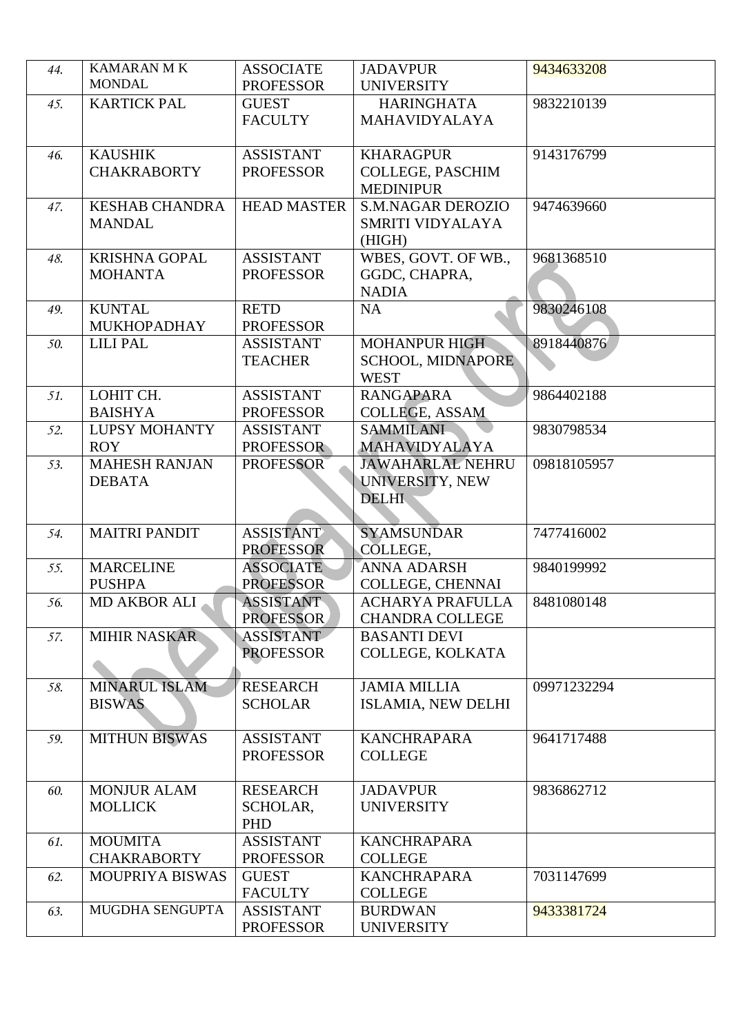| 44. | <b>KAMARAN MK</b><br><b>MONDAL</b> | <b>ASSOCIATE</b>               | <b>JADAVPUR</b>                           | 9434633208  |
|-----|------------------------------------|--------------------------------|-------------------------------------------|-------------|
|     |                                    | <b>PROFESSOR</b>               | <b>UNIVERSITY</b>                         |             |
| 45. | <b>KARTICK PAL</b>                 | <b>GUEST</b><br><b>FACULTY</b> | <b>HARINGHATA</b><br><b>MAHAVIDYALAYA</b> | 9832210139  |
| 46. | <b>KAUSHIK</b>                     | <b>ASSISTANT</b>               | <b>KHARAGPUR</b>                          | 9143176799  |
|     | <b>CHAKRABORTY</b>                 | <b>PROFESSOR</b>               | COLLEGE, PASCHIM                          |             |
|     |                                    |                                | <b>MEDINIPUR</b>                          |             |
| 47. | <b>KESHAB CHANDRA</b>              | <b>HEAD MASTER</b>             | <b>S.M.NAGAR DEROZIO</b>                  | 9474639660  |
|     | <b>MANDAL</b>                      |                                | SMRITI VIDYALAYA                          |             |
|     |                                    |                                | (HIGH)                                    |             |
| 48. | <b>KRISHNA GOPAL</b>               | <b>ASSISTANT</b>               | WBES, GOVT. OF WB.,                       | 9681368510  |
|     | <b>MOHANTA</b>                     | <b>PROFESSOR</b>               | GGDC, CHAPRA,                             |             |
|     |                                    |                                | <b>NADIA</b>                              |             |
| 49. | <b>KUNTAL</b>                      | <b>RETD</b>                    | NA                                        | 9830246108  |
|     | <b>MUKHOPADHAY</b>                 | <b>PROFESSOR</b>               |                                           |             |
| 50. | <b>LILIPAL</b>                     | <b>ASSISTANT</b>               | <b>MOHANPUR HIGH</b>                      | 8918440876  |
|     |                                    | <b>TEACHER</b>                 | <b>SCHOOL, MIDNAPORE</b>                  |             |
|     |                                    |                                | <b>WEST</b>                               |             |
| 51. | LOHIT CH.                          | <b>ASSISTANT</b>               | <b>RANGAPARA</b>                          | 9864402188  |
|     | <b>BAISHYA</b>                     | <b>PROFESSOR</b>               | <b>COLLEGE, ASSAM</b>                     |             |
| 52. | <b>LUPSY MOHANTY</b>               | <b>ASSISTANT</b>               | <b>SAMMILANI</b>                          | 9830798534  |
|     | <b>ROY</b>                         | <b>PROFESSOR</b>               | <b>MAHAVIDYALAYA</b>                      |             |
| 53. | <b>MAHESH RANJAN</b>               | <b>PROFESSOR</b>               | <b>JAWAHARLAL NEHRU</b>                   | 09818105957 |
|     | <b>DEBATA</b>                      |                                | UNIVERSITY, NEW                           |             |
|     |                                    |                                | <b>DELHI</b>                              |             |
|     |                                    |                                |                                           |             |
| 54. | <b>MAITRI PANDIT</b>               | <b>ASSISTANT</b>               | <b>SYAMSUNDAR</b>                         | 7477416002  |
|     |                                    | <b>PROFESSOR</b>               | COLLEGE,                                  |             |
| 55. | <b>MARCELINE</b>                   | <b>ASSOCIATE</b>               | <b>ANNA ADARSH</b>                        | 9840199992  |
|     | <b>PUSHPA</b>                      | <b>PROFESSOR</b>               | COLLEGE, CHENNAI                          |             |
| 56. | MD AKBOR ALI                       | <b>ASSISTANT</b>               | <b>ACHARYA PRAFULLA</b>                   | 8481080148  |
|     |                                    | <b>PROFESSOR</b><br>ASSISTANT  | <b>CHANDRA COLLEGE</b>                    |             |
| 57. | <b>MIHIR NASKAR</b>                | <b>PROFESSOR</b>               | <b>BASANTI DEVI</b><br>COLLEGE, KOLKATA   |             |
|     |                                    |                                |                                           |             |
| 58. | <b>MINARUL ISLAM</b>               | <b>RESEARCH</b>                | <b>JAMIA MILLIA</b>                       | 09971232294 |
|     | <b>BISWAS</b>                      | <b>SCHOLAR</b>                 | ISLAMIA, NEW DELHI                        |             |
|     |                                    |                                |                                           |             |
| 59. | <b>MITHUN BISWAS</b>               | <b>ASSISTANT</b>               | <b>KANCHRAPARA</b>                        | 9641717488  |
|     |                                    | <b>PROFESSOR</b>               | <b>COLLEGE</b>                            |             |
|     |                                    |                                |                                           |             |
| 60. | <b>MONJUR ALAM</b>                 | <b>RESEARCH</b>                | <b>JADAVPUR</b>                           | 9836862712  |
|     | <b>MOLLICK</b>                     | SCHOLAR,                       | <b>UNIVERSITY</b>                         |             |
|     |                                    | PHD                            |                                           |             |
| 61. | <b>MOUMITA</b>                     | <b>ASSISTANT</b>               | <b>KANCHRAPARA</b>                        |             |
|     | <b>CHAKRABORTY</b>                 | <b>PROFESSOR</b>               | <b>COLLEGE</b>                            |             |
| 62. | <b>MOUPRIYA BISWAS</b>             | <b>GUEST</b>                   | <b>KANCHRAPARA</b>                        | 7031147699  |
|     |                                    | <b>FACULTY</b>                 | <b>COLLEGE</b>                            |             |
| 63. | MUGDHA SENGUPTA                    | <b>ASSISTANT</b>               | <b>BURDWAN</b>                            | 9433381724  |
|     |                                    | <b>PROFESSOR</b>               | <b>UNIVERSITY</b>                         |             |
|     |                                    |                                |                                           |             |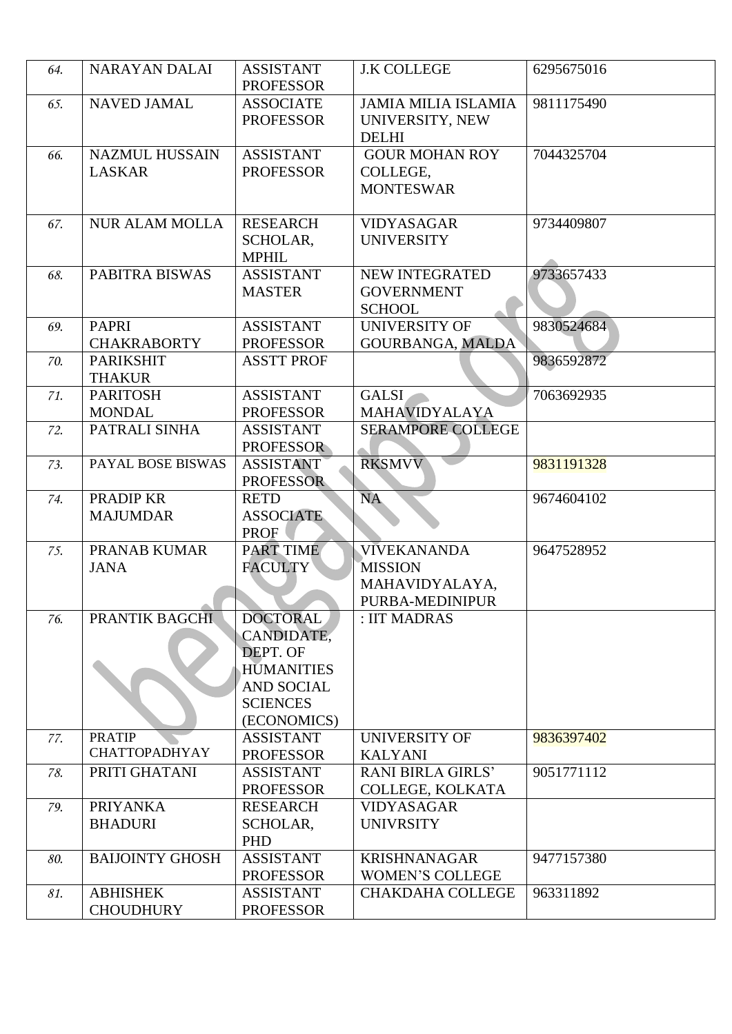| 64. | <b>NARAYAN DALAI</b>                   | <b>ASSISTANT</b><br><b>PROFESSOR</b>                                                                                  | <b>J.K COLLEGE</b>                                                        | 6295675016 |
|-----|----------------------------------------|-----------------------------------------------------------------------------------------------------------------------|---------------------------------------------------------------------------|------------|
| 65. | <b>NAVED JAMAL</b>                     | <b>ASSOCIATE</b><br><b>PROFESSOR</b>                                                                                  | <b>JAMIA MILIA ISLAMIA</b><br>UNIVERSITY, NEW<br><b>DELHI</b>             | 9811175490 |
| 66. | <b>NAZMUL HUSSAIN</b><br><b>LASKAR</b> | <b>ASSISTANT</b><br><b>PROFESSOR</b>                                                                                  | <b>GOUR MOHAN ROY</b><br>COLLEGE,<br><b>MONTESWAR</b>                     | 7044325704 |
| 67. | <b>NUR ALAM MOLLA</b>                  | <b>RESEARCH</b><br>SCHOLAR,<br><b>MPHIL</b>                                                                           | <b>VIDYASAGAR</b><br><b>UNIVERSITY</b>                                    | 9734409807 |
| 68. | PABITRA BISWAS                         | <b>ASSISTANT</b><br><b>MASTER</b>                                                                                     | <b>NEW INTEGRATED</b><br><b>GOVERNMENT</b><br><b>SCHOOL</b>               | 9733657433 |
| 69. | <b>PAPRI</b><br><b>CHAKRABORTY</b>     | <b>ASSISTANT</b><br><b>PROFESSOR</b>                                                                                  | <b>UNIVERSITY OF</b><br><b>GOURBANGA, MALDA</b>                           | 9830524684 |
| 70. | <b>PARIKSHIT</b><br><b>THAKUR</b>      | <b>ASSTT PROF</b>                                                                                                     |                                                                           | 9836592872 |
| 71. | <b>PARITOSH</b><br><b>MONDAL</b>       | <b>ASSISTANT</b><br><b>PROFESSOR</b>                                                                                  | <b>GALSI</b><br><b>MAHAVIDYALAYA</b>                                      | 7063692935 |
| 72. | PATRALI SINHA                          | <b>ASSISTANT</b><br><b>PROFESSOR</b>                                                                                  | <b>SERAMPORE COLLEGE</b>                                                  |            |
| 73. | PAYAL BOSE BISWAS                      | <b>ASSISTANT</b><br><b>PROFESSOR</b>                                                                                  | <b>RKSMVV</b>                                                             | 9831191328 |
| 74. | PRADIP KR<br><b>MAJUMDAR</b>           | <b>RETD</b><br><b>ASSOCIATE</b><br>PROF                                                                               | NA                                                                        | 9674604102 |
| 75. | PRANAB KUMAR<br><b>JANA</b>            | PART TIME<br><b>FACULTY</b>                                                                                           | <b>VIVEKANANDA</b><br><b>MISSION</b><br>MAHAVIDYALAYA,<br>PURBA-MEDINIPUR | 9647528952 |
| 76. | PRANTIK BAGCHI                         | <b>DOCTORAL</b><br>CANDIDATE,<br>DEPT. OF<br><b>HUMANITIES</b><br><b>AND SOCIAL</b><br><b>SCIENCES</b><br>(ECONOMICS) | : IIT MADRAS                                                              |            |
| 77. | <b>PRATIP</b><br><b>CHATTOPADHYAY</b>  | <b>ASSISTANT</b><br><b>PROFESSOR</b>                                                                                  | <b>UNIVERSITY OF</b><br><b>KALYANI</b>                                    | 9836397402 |
| 78. | PRITI GHATANI                          | <b>ASSISTANT</b><br><b>PROFESSOR</b>                                                                                  | <b>RANI BIRLA GIRLS'</b><br>COLLEGE, KOLKATA                              | 9051771112 |
| 79. | <b>PRIYANKA</b><br><b>BHADURI</b>      | <b>RESEARCH</b><br>SCHOLAR,<br>PHD                                                                                    | <b>VIDYASAGAR</b><br><b>UNIVRSITY</b>                                     |            |
| 80. | <b>BAIJOINTY GHOSH</b>                 | <b>ASSISTANT</b><br><b>PROFESSOR</b>                                                                                  | <b>KRISHNANAGAR</b><br><b>WOMEN'S COLLEGE</b>                             | 9477157380 |
| 81. | <b>ABHISHEK</b><br><b>CHOUDHURY</b>    | <b>ASSISTANT</b><br><b>PROFESSOR</b>                                                                                  | <b>CHAKDAHA COLLEGE</b>                                                   | 963311892  |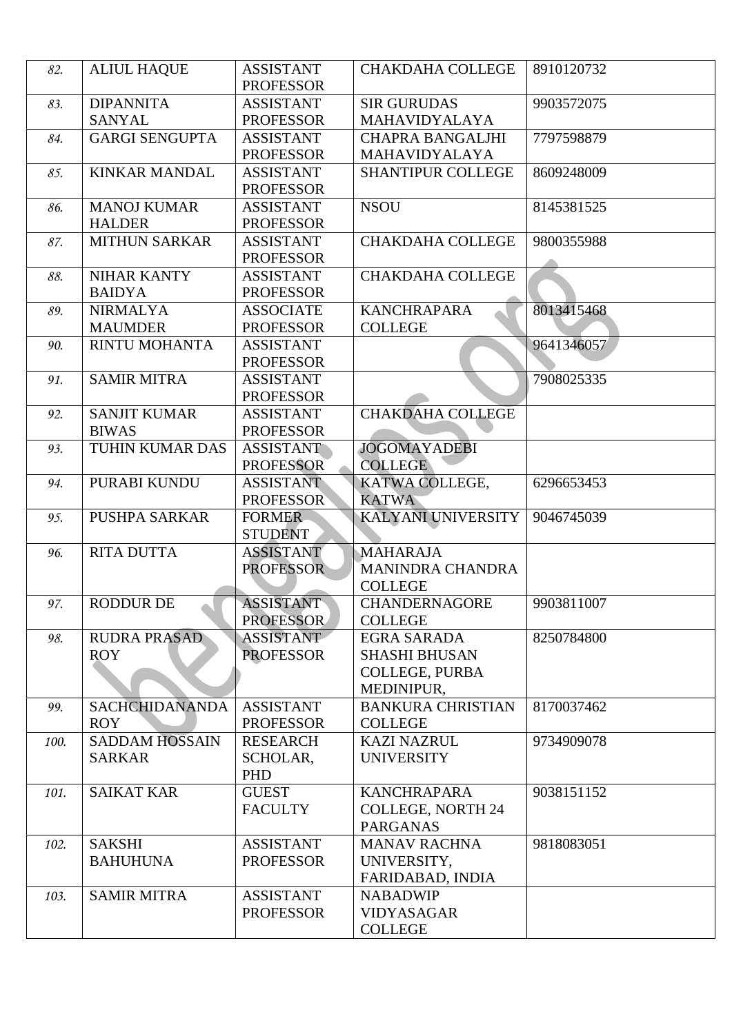| 82.  | <b>ALIUL HAQUE</b>                     | <b>ASSISTANT</b><br><b>PROFESSOR</b> | <b>CHAKDAHA COLLEGE</b>                                                           | 8910120732 |
|------|----------------------------------------|--------------------------------------|-----------------------------------------------------------------------------------|------------|
| 83.  | <b>DIPANNITA</b><br><b>SANYAL</b>      | <b>ASSISTANT</b><br><b>PROFESSOR</b> | <b>SIR GURUDAS</b><br><b>MAHAVIDYALAYA</b>                                        | 9903572075 |
| 84.  | <b>GARGI SENGUPTA</b>                  | <b>ASSISTANT</b><br><b>PROFESSOR</b> | <b>CHAPRA BANGALJHI</b><br><b>MAHAVIDYALAYA</b>                                   | 7797598879 |
| 85.  | <b>KINKAR MANDAL</b>                   | <b>ASSISTANT</b><br><b>PROFESSOR</b> | <b>SHANTIPUR COLLEGE</b>                                                          | 8609248009 |
| 86.  | <b>MANOJ KUMAR</b><br><b>HALDER</b>    | <b>ASSISTANT</b><br><b>PROFESSOR</b> | <b>NSOU</b>                                                                       | 8145381525 |
| 87.  | <b>MITHUN SARKAR</b>                   | <b>ASSISTANT</b><br><b>PROFESSOR</b> | <b>CHAKDAHA COLLEGE</b>                                                           | 9800355988 |
| 88.  | <b>NIHAR KANTY</b><br><b>BAIDYA</b>    | <b>ASSISTANT</b><br><b>PROFESSOR</b> | <b>CHAKDAHA COLLEGE</b>                                                           |            |
| 89.  | <b>NIRMALYA</b><br><b>MAUMDER</b>      | <b>ASSOCIATE</b><br><b>PROFESSOR</b> | <b>KANCHRAPARA</b><br><b>COLLEGE</b>                                              | 8013415468 |
| 90.  | <b>RINTU MOHANTA</b>                   | <b>ASSISTANT</b><br><b>PROFESSOR</b> |                                                                                   | 9641346057 |
| 91.  | <b>SAMIR MITRA</b>                     | <b>ASSISTANT</b><br><b>PROFESSOR</b> |                                                                                   | 7908025335 |
| 92.  | <b>SANJIT KUMAR</b><br><b>BIWAS</b>    | <b>ASSISTANT</b><br><b>PROFESSOR</b> | <b>CHAKDAHA COLLEGE</b>                                                           |            |
| 93.  | TUHIN KUMAR DAS                        | <b>ASSISTANT</b><br><b>PROFESSOR</b> | <b>JOGOMAYADEBI</b><br><b>COLLEGE</b>                                             |            |
| 94.  | PURABI KUNDU                           | <b>ASSISTANT</b><br><b>PROFESSOR</b> | KATWA COLLEGE,<br><b>KATWA</b>                                                    | 6296653453 |
| 95.  | <b>PUSHPA SARKAR</b>                   | <b>FORMER</b><br><b>STUDENT</b>      | <b>KALYANI UNIVERSITY</b>                                                         | 9046745039 |
| 96.  | <b>RITA DUTTA</b>                      | <b>ASSISTANT</b><br><b>PROFESSOR</b> | <b>MAHARAJA</b><br>MANINDRA CHANDRA<br><b>COLLEGE</b>                             |            |
| 97.  | RODDUR DE                              | <b>ASSISTANT</b><br><b>PROFESSOR</b> | <b>CHANDERNAGORE</b><br><b>COLLEGE</b>                                            | 9903811007 |
| 98.  | <b>RUDRA PRASAD</b><br><b>ROY</b>      | <b>ASSISTANT</b><br><b>PROFESSOR</b> | <b>EGRA SARADA</b><br><b>SHASHI BHUSAN</b><br><b>COLLEGE, PURBA</b><br>MEDINIPUR, | 8250784800 |
| 99.  | SACHCHIDANANDA<br><b>ROY</b>           | <b>ASSISTANT</b><br><b>PROFESSOR</b> | <b>BANKURA CHRISTIAN</b><br><b>COLLEGE</b>                                        | 8170037462 |
| 100. | <b>SADDAM HOSSAIN</b><br><b>SARKAR</b> | <b>RESEARCH</b><br>SCHOLAR,<br>PHD   | <b>KAZI NAZRUL</b><br><b>UNIVERSITY</b>                                           | 9734909078 |
| 101. | <b>SAIKAT KAR</b>                      | <b>GUEST</b><br><b>FACULTY</b>       | <b>KANCHRAPARA</b><br><b>COLLEGE, NORTH 24</b><br><b>PARGANAS</b>                 | 9038151152 |
| 102. | <b>SAKSHI</b><br><b>BAHUHUNA</b>       | <b>ASSISTANT</b><br><b>PROFESSOR</b> | <b>MANAV RACHNA</b><br>UNIVERSITY,<br>FARIDABAD, INDIA                            | 9818083051 |
| 103. | <b>SAMIR MITRA</b>                     | <b>ASSISTANT</b><br><b>PROFESSOR</b> | <b>NABADWIP</b><br><b>VIDYASAGAR</b><br><b>COLLEGE</b>                            |            |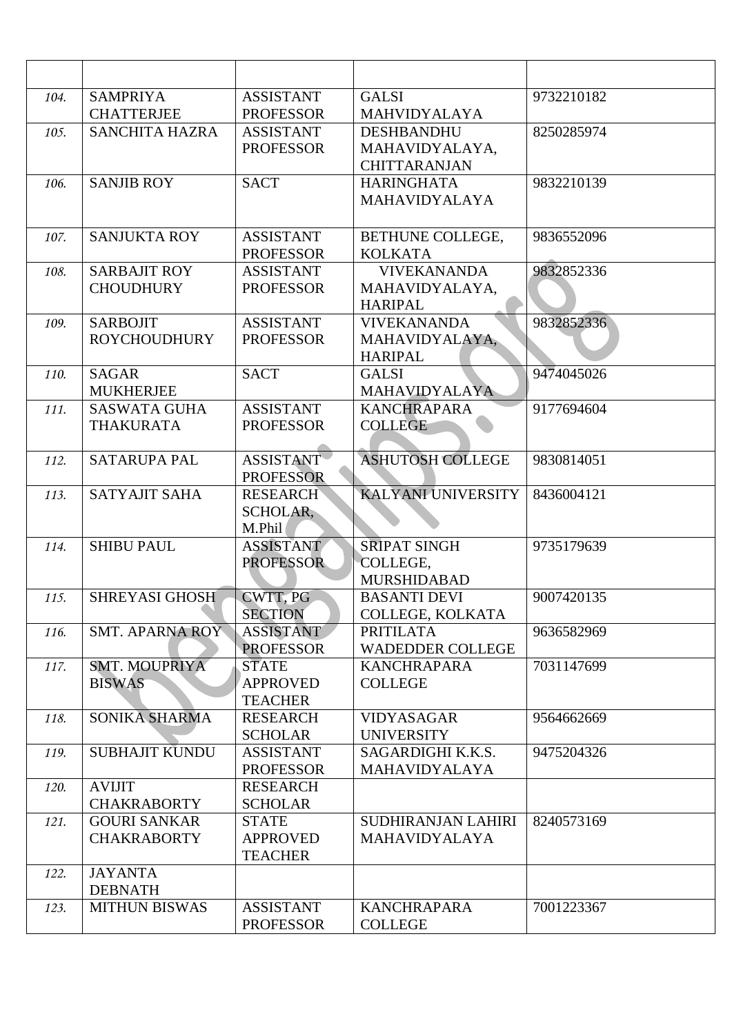| 104. | <b>SAMPRIYA</b>        | <b>ASSISTANT</b>                  | <b>GALSI</b>              | 9732210182 |
|------|------------------------|-----------------------------------|---------------------------|------------|
|      | <b>CHATTERJEE</b>      | <b>PROFESSOR</b>                  | <b>MAHVIDYALAYA</b>       |            |
| 105. | <b>SANCHITA HAZRA</b>  | <b>ASSISTANT</b>                  | <b>DESHBANDHU</b>         | 8250285974 |
|      |                        | <b>PROFESSOR</b>                  | MAHAVIDYALAYA,            |            |
|      |                        |                                   | <b>CHITTARANJAN</b>       |            |
| 106. | <b>SANJIB ROY</b>      | <b>SACT</b>                       | <b>HARINGHATA</b>         | 9832210139 |
|      |                        |                                   | <b>MAHAVIDYALAYA</b>      |            |
|      |                        |                                   |                           |            |
| 107. | <b>SANJUKTA ROY</b>    | <b>ASSISTANT</b>                  | BETHUNE COLLEGE,          | 9836552096 |
|      |                        | <b>PROFESSOR</b>                  | <b>KOLKATA</b>            |            |
| 108. | <b>SARBAJIT ROY</b>    | <b>ASSISTANT</b>                  | <b>VIVEKANANDA</b>        | 9832852336 |
|      | <b>CHOUDHURY</b>       | <b>PROFESSOR</b>                  | MAHAVIDYALAYA,            |            |
|      |                        |                                   | <b>HARIPAL</b>            |            |
| 109. | <b>SARBOJIT</b>        | <b>ASSISTANT</b>                  | <b>VIVEKANANDA</b>        | 9832852336 |
|      | <b>ROYCHOUDHURY</b>    | <b>PROFESSOR</b>                  | MAHAVIDYALAYA,            |            |
|      |                        |                                   | <b>HARIPAL</b>            |            |
| 110. | <b>SAGAR</b>           | <b>SACT</b>                       | <b>GALSI</b>              | 9474045026 |
|      | <b>MUKHERJEE</b>       |                                   | MAHAVIDYALAYA             |            |
| 111. | <b>SASWATA GUHA</b>    | <b>ASSISTANT</b>                  | <b>KANCHRAPARA</b>        | 9177694604 |
|      | <b>THAKURATA</b>       | <b>PROFESSOR</b>                  | <b>COLLEGE</b>            |            |
| 112. | <b>SATARUPA PAL</b>    | <b>ASSISTANT</b>                  | <b>ASHUTOSH COLLEGE</b>   | 9830814051 |
|      |                        | <b>PROFESSOR</b>                  |                           |            |
| 113. | <b>SATYAJIT SAHA</b>   | <b>RESEARCH</b>                   | <b>KALYANI UNIVERSITY</b> | 8436004121 |
|      |                        | SCHOLAR,                          |                           |            |
|      |                        | M.Phil                            |                           |            |
| 114. | <b>SHIBU PAUL</b>      | <b>ASSISTANT</b>                  | <b>SRIPAT SINGH</b>       | 9735179639 |
|      |                        | <b>PROFESSOR</b>                  | COLLEGE,                  |            |
|      |                        |                                   | <b>MURSHIDABAD</b>        |            |
| 115. | <b>SHREYASI GHOSH</b>  | CWTT, PG                          | <b>BASANTI DEVI</b>       | 9007420135 |
|      |                        | <b>SECTION</b>                    | COLLEGE, KOLKATA          |            |
| 116. | <b>SMT. APARNA ROY</b> | <b>ASSISTANT</b>                  | <b>PRITILATA</b>          | 9636582969 |
|      |                        | <b>PROFESSOR</b>                  | <b>WADEDDER COLLEGE</b>   |            |
| 117. | <b>SMT. MOUPRIYA</b>   | <b>STATE</b>                      | <b>KANCHRAPARA</b>        | 7031147699 |
|      | <b>BISWAS</b>          | <b>APPROVED</b>                   | <b>COLLEGE</b>            |            |
|      |                        | <b>TEACHER</b>                    |                           |            |
| 118. | SONIKA SHARMA          | <b>RESEARCH</b>                   | <b>VIDYASAGAR</b>         | 9564662669 |
|      |                        | <b>SCHOLAR</b>                    | <b>UNIVERSITY</b>         |            |
| 119. | SUBHAJIT KUNDU         | <b>ASSISTANT</b>                  | SAGARDIGHI K.K.S.         | 9475204326 |
|      |                        | <b>PROFESSOR</b>                  | MAHAVIDYALAYA             |            |
| 120. | <b>AVIJIT</b>          | <b>RESEARCH</b>                   |                           |            |
|      | <b>CHAKRABORTY</b>     | <b>SCHOLAR</b>                    |                           |            |
| 121. | <b>GOURI SANKAR</b>    | <b>STATE</b>                      | SUDHIRANJAN LAHIRI        | 8240573169 |
|      | <b>CHAKRABORTY</b>     | <b>APPROVED</b><br><b>TEACHER</b> | <b>MAHAVIDYALAYA</b>      |            |
| 122. | <b>JAYANTA</b>         |                                   |                           |            |
|      | <b>DEBNATH</b>         |                                   |                           |            |
| 123. | <b>MITHUN BISWAS</b>   | <b>ASSISTANT</b>                  | <b>KANCHRAPARA</b>        | 7001223367 |
|      |                        | <b>PROFESSOR</b>                  | <b>COLLEGE</b>            |            |
|      |                        |                                   |                           |            |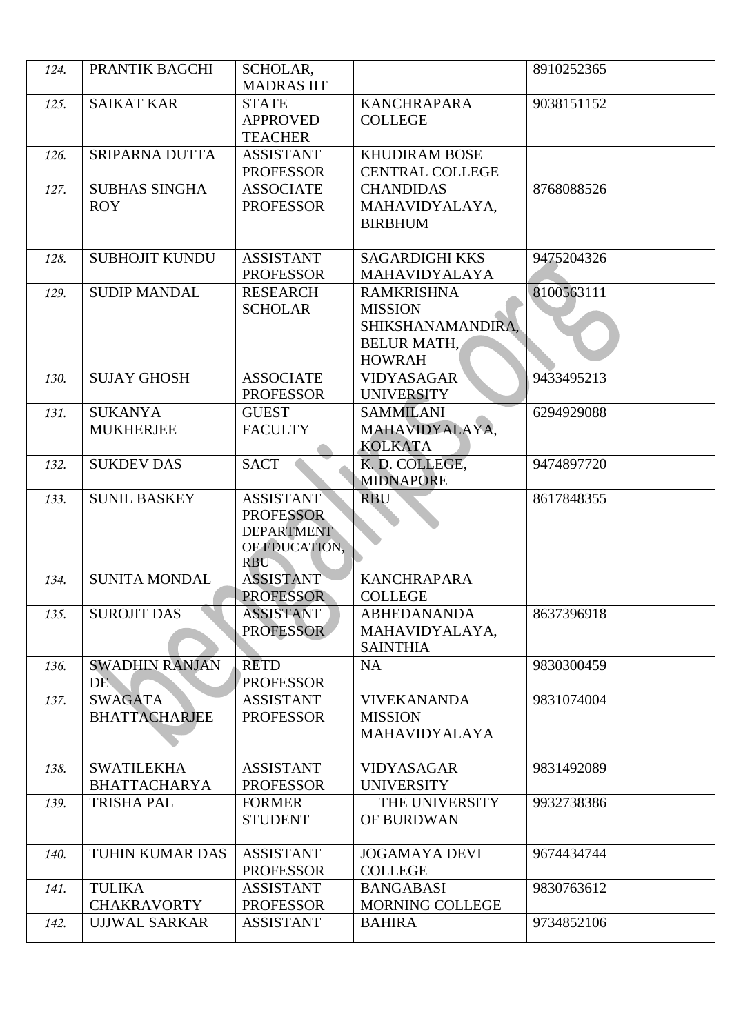| 124. | PRANTIK BAGCHI                           | SCHOLAR,<br><b>MADRAS IIT</b>                                                            |                                                                                                 | 8910252365 |
|------|------------------------------------------|------------------------------------------------------------------------------------------|-------------------------------------------------------------------------------------------------|------------|
| 125. | <b>SAIKAT KAR</b>                        | <b>STATE</b><br><b>APPROVED</b><br><b>TEACHER</b>                                        | <b>KANCHRAPARA</b><br><b>COLLEGE</b>                                                            | 9038151152 |
| 126. | SRIPARNA DUTTA                           | <b>ASSISTANT</b><br><b>PROFESSOR</b>                                                     | <b>KHUDIRAM BOSE</b><br><b>CENTRAL COLLEGE</b>                                                  |            |
| 127. | <b>SUBHAS SINGHA</b><br><b>ROY</b>       | <b>ASSOCIATE</b><br><b>PROFESSOR</b>                                                     | <b>CHANDIDAS</b><br>MAHAVIDYALAYA,<br><b>BIRBHUM</b>                                            | 8768088526 |
| 128. | <b>SUBHOJIT KUNDU</b>                    | <b>ASSISTANT</b><br><b>PROFESSOR</b>                                                     | <b>SAGARDIGHI KKS</b><br><b>MAHAVIDYALAYA</b>                                                   | 9475204326 |
| 129. | <b>SUDIP MANDAL</b>                      | <b>RESEARCH</b><br><b>SCHOLAR</b>                                                        | <b>RAMKRISHNA</b><br><b>MISSION</b><br>SHIKSHANAMANDIRA,<br><b>BELUR MATH,</b><br><b>HOWRAH</b> | 8100563111 |
| 130. | <b>SUJAY GHOSH</b>                       | <b>ASSOCIATE</b><br><b>PROFESSOR</b>                                                     | <b>VIDYASAGAR</b><br><b>UNIVERSITY</b>                                                          | 9433495213 |
| 131. | <b>SUKANYA</b><br><b>MUKHERJEE</b>       | <b>GUEST</b><br><b>FACULTY</b>                                                           | <b>SAMMILANI</b><br>MAHAVIDYALAYA,<br><b>KOLKATA</b>                                            | 6294929088 |
| 132. | <b>SUKDEV DAS</b>                        | <b>SACT</b>                                                                              | K. D. COLLEGE,<br><b>MIDNAPORE</b>                                                              | 9474897720 |
| 133. | <b>SUNIL BASKEY</b>                      | <b>ASSISTANT</b><br><b>PROFESSOR</b><br><b>DEPARTMENT</b><br>OF EDUCATION,<br><b>RBU</b> | <b>RBU</b>                                                                                      | 8617848355 |
| 134. | <b>SUNITA MONDAL</b>                     | <b>ASSISTANT</b><br><b>PROFESSOR</b>                                                     | <b>KANCHRAPARA</b><br><b>COLLEGE</b>                                                            |            |
| 135. | <b>SUROJIT DAS</b>                       | ASSISTANT<br><b>PROFESSOR</b>                                                            | <b>ABHEDANANDA</b><br>MAHAVIDYALAYA,<br><b>SAINTHIA</b>                                         | 8637396918 |
| 136. | <b>SWADHIN RANJAN</b><br>DE.             | <b>RETD</b><br><b>PROFESSOR</b>                                                          | <b>NA</b>                                                                                       | 9830300459 |
| 137. | <b>SWAGATA</b><br><b>BHATTACHARJEE</b>   | <b>ASSISTANT</b><br><b>PROFESSOR</b>                                                     | <b>VIVEKANANDA</b><br><b>MISSION</b><br><b>MAHAVIDYALAYA</b>                                    | 9831074004 |
| 138. | <b>SWATILEKHA</b><br><b>BHATTACHARYA</b> | <b>ASSISTANT</b><br><b>PROFESSOR</b>                                                     | <b>VIDYASAGAR</b><br><b>UNIVERSITY</b>                                                          | 9831492089 |
| 139. | <b>TRISHA PAL</b>                        | <b>FORMER</b><br><b>STUDENT</b>                                                          | THE UNIVERSITY<br>OF BURDWAN                                                                    | 9932738386 |
| 140. | TUHIN KUMAR DAS                          | <b>ASSISTANT</b><br><b>PROFESSOR</b>                                                     | <b>JOGAMAYA DEVI</b><br><b>COLLEGE</b>                                                          | 9674434744 |
| 141. | <b>TULIKA</b><br><b>CHAKRAVORTY</b>      | <b>ASSISTANT</b><br><b>PROFESSOR</b>                                                     | <b>BANGABASI</b><br><b>MORNING COLLEGE</b>                                                      | 9830763612 |
| 142. | <b>UJJWAL SARKAR</b>                     | <b>ASSISTANT</b>                                                                         | <b>BAHIRA</b>                                                                                   | 9734852106 |